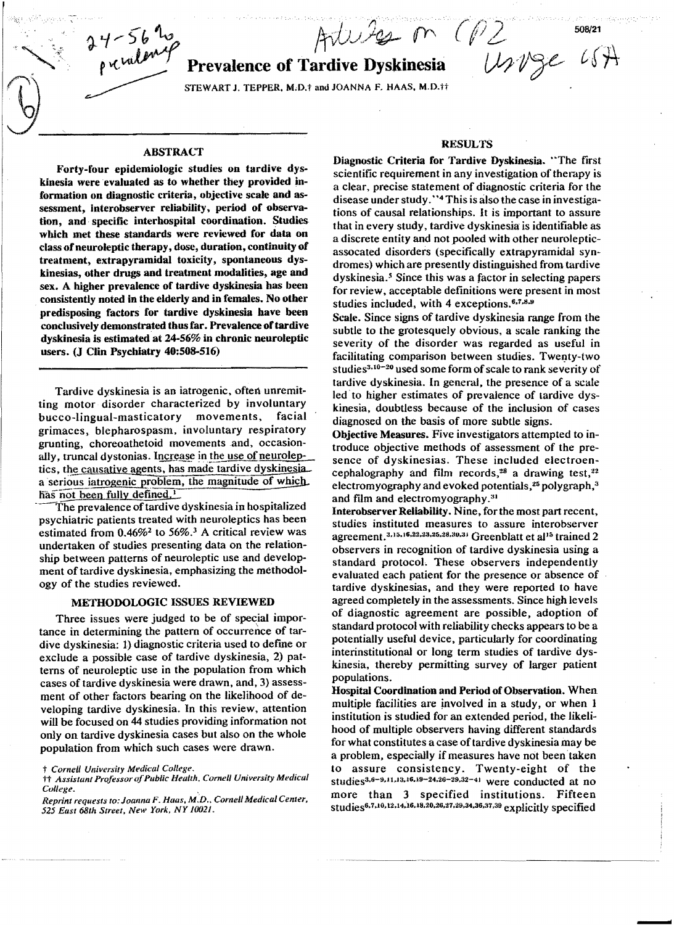$4-56$  hs and Arbeits on  $+56$  to<br>p v ulement Prevalence of Tardive Dyskinesia<br>sTEWART J. TEPPER, M.D.† and JOANNA E. HAAS, M.D.††

## Prevalence of Tardive Dyskinesia

 $\begin{bmatrix} \bullet \\ \bullet \end{bmatrix}$  . STEWART J. TEFFER, M.D.T and JOANNA F. HAAS, M.D.Tt

## ABSTRACT

Forty-four epidemiologic studies on tardive dyskinesia were evaluated as to whether they provided information on diagnostic criteria, objective scale and assessment, interobserver reliability. period of observation, and· specific interhospital coordination. Studies which met these standards were reviewed for data on class ofneuroleptic therapy, dose, duration, continuity of treatment, extrapyramidal toxicity, spontaneous dyskinesias, other drugs and treatment modalities, age and sex. A higher prevalence of tardive dyskinesia bas been consistently noted in the elderly and in females. No other predisposing factors for tardive dyskinesia have been conclusively demonstrated thus far. Prevalence of tardive dyskinesia is estimated at 24-56% in chronic neuroleptic users. (J Clin Psychiatry 40:508-516)

Tardive dyskinesia is an iatrogenic, often unremitting motor disorder characterized by involuntary bucco-lingual-masticatory movements, facial grimaces, blepharospasm, involuntary respiratory grunting, choreoathetoid movements and, occasionally, truncal dystonias. Increase in the use of neuroleptics, the causative agents, has made tardive dyskinesia. a serious iatrogenic problem, the magnitude of which has not been fully defined.<sup>1</sup>

The prevalence of tardive dyskinesia in hospitalized psychiatric patients treated with neuroleptics has been estimated from  $0.46\%$ <sup>2</sup> to 56%.<sup>3</sup> A critical review was undertaken of studies presenting data on the relationship between patterns of neuroleptic use and development of tardive dyskinesia, emphasizing the methodology of the studies reviewed.

## METHODOLOGIC ISSUES REVIEWED

Three issues were judged to be of special importance in determining the pattern of occurrence of tardive dyskinesia: 1) diagnostic criteria used to define or exclude a possible case of tardive dyskinesia, 2) patterns of neuroleptic use in the population from which cases of tardive dyskinesia were drawn, and, 3) assessment of other factors bearing on the likelihood of developing tardive dyskinesia. In this review, attention will be focused on 44 studies providing information not only on tardive dyskinesia cases but also on the whole population from which such cases were drawn. will be focused on 44 studies providing information not<br>
only on tardive dyskinesia cases but also on the whole<br>
oopulation from which such cases were drawn.<br>  $\frac{1}{2}$ <br>  $\frac{1}{2}$ <br>  $\frac{1}{2}$ <br>  $\frac{1}{2}$ <br>  $\frac{1}{2}$ <br>  $\frac{1}{2}$ 

#### RESULTS

Diagnostic Criteria for Tardive Dyskinesia. "The first scientific requirement in any investigation of therapy is a clear, precise statement of diagnostic criteria for the disease under study. "4 This is also the case in investigations of causal relationships. It is important to assure that in every study, tardive dyskinesia is identifiable as a discrete entity and not pooled with other neurolepticassocated disorders (specifically extrapyramidal syndromes) which are presently distinguished from tardive dyskinesia.<sup>5</sup> Since this was a factor in selecting papers for review, acceptable definitions were present in most studies included, with 4 exceptions.<sup>6,7,8,9</sup>

Scale. Since signs of tardive dyskinesia range from the subtle to the grotesquely obvious, a scale ranking the severity of the disorder was regarded as useful in facilitating comparison between studies. Twenty-two studies<sup>3,10-20</sup> used some form of scale to rank severity of tardive dyskinesia. In general, the presence of a scale led to higher estimates of prevalence of tardive dyskinesia, doubtless because of the inclusion of cases diagnosed on the basis of more subtle signs.

Objective Measures. Five investigators attempted to introduce objective methods of assessment of the presence of dyskinesias. These included electroentroute objective methods of assessment of the pre-<br>sence of dyskinesias. These included electroen-<br>cephalography and film records,<sup>28</sup> a drawing test,<sup>22</sup> electromyography and evoked potentials, $25$  polygraph, $3$ and film and electromyography.<sup>31</sup>

Interobserver Reliability. Nine. for the most part recent, studies instituted measures to assure interobserver agreement.<sup>3,15,16,22,23,25,28,30,31</sup> Greenblatt et al<sup>15</sup> trained 2 observers in recognition of tardive dyskinesia using a standard protocol. These observers independently evaluated each patient for the presence or absence of tardive dyskinesias. and they were reported to have agreed completely in the assessments. Since high levels of diagnostic agreement are possible, adoption of standard protocol with reliability checks appears to be a potentially useful device, particularly for coordinating interinstitutional or long term studies of tardive dys kinesia. thereby permitting survey of larger patient populations.

Hospital Coordination and Period of Observation. When multiple facilities are jnvolved in a study. or when 1 institution is studied for an extended period, the likeli hood of multiple observers having different standards for what constitutes a case of tardive dyskinesia may be a problem, especially if measures have not been taken to assure consistency. Twenty-eight of the studies $3.6-9.11.13.16.19-24.26-29.32-41$  were conducted at no more than 3 specified institutions. Fifteen studies<sup>6,7,10,12,14,16,18,20,26,27,29,34,36,37,39</sup> explicitly specified

Usinge

t Cornell University Medical College.<br>†† Assistant Professor of Public Health. Cornell University Medical *College. ,* 

*Reprint requests* 10: *Joanna F. Haas. M:D .• Cornell Medical Center. 525 East 68th Street, New York. NY 10021.*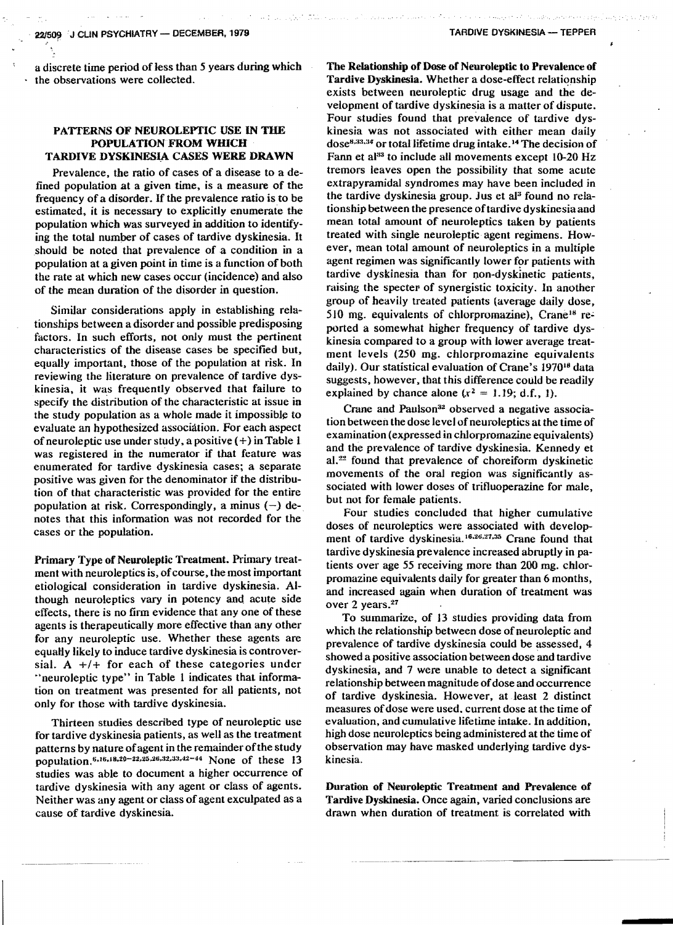a discrete time period of less than 5 years during which the observations were collected.

## PATTERNS OF NEUROLEPTIC USE IN THE POPULATION FROM WHICH TARDIVE DYSKINESIA CASES WERE DRAWN

Prevalence. the ratio of cases of a disease to a defined population at a given time, is a measure of the frequency of a disorder. If the prevalence ratio is to be estimated, it is necessary to explicitly enumerate the population which was surveyed in addition to identifying the total number of cases of tardive dyskinesia. It should be noted that prevalence of a condition in a population at a given point in time is a function of both the rate at which new cases occur (incidence) and also of the mean duration of the disorder in question.

Similar considerations apply in establishing relationships between a disorder and possible predisposing factors. In such efforts. not only must the pertinent characteristics of the disease cases be specified but, equally important, those of the population at risk. In reviewing the literature on prevalence of tardive dyskinesia. it was frequently observed that failure to specify the disiribution of the characteristic at issue in the study population as a whole made it impossible to evaluate an hypothesized association. For each aspect of neuroleptic use under study, a positive  $(+)$  in Table 1 was registered in the numerator if that feature was enumerated for tardive dyskinesia cases; a separate positive was given for the denominator if the distribution of that characteristic was provided for the entire population at risk. Correspondingly, a minus  $(-)$  denotes that this information was not recorded for the cases or the population.

Primary Type of Neuroleptic Treatment. Primary treatment with neuroleptics is, of course, the most important etiological consideration in tardive dyskinesia. Although neuroleptics vary in potency and acute side effects. there is no firm evidence that anyone of these agents is therapeutically more effective than any other for any neuroleptic use. Whether these agents are equally likely to induce tardive dyskinesia is controversial. A *+1+* for each of these categories under "neuroleptic type" in Table 1 indicates that information on treatment was presented for all patients, not only for those with tardive dyskinesia.

Thirteen studies described type of neuroleptic use for tardive dyskinesia patients, as well as the treatment patterns by nature of agent in the remainder of the study population.<sup>6,16,18,20-22,25,26,32,33,42-44</sup> None of these 13 studies was able to document a higher occurrence of tardive dyskinesia with any agent or class of agents. Neither was any agent or class of agent exculpated as a cause of tardive dyskinesia.

The Relationship of Dose of Neuroleptic to Prevalence of Tardive Dyskinesia. Whether a dose-effect relationship exists between neuroleptic drug usage and the development of tardive dyskinesia is a matter of dispute. Four studies found that prevalence of tardive dyskinesia was not associated with either mean daily  $dose^{8,33,34}$  or total lifetime drug intake. <sup>14</sup> The decision of Fann et al $33$  to include all movements except 10-20 Hz tremors leaves open the possibility that some acute extrapyramidal syndromes may have been included in the tardive dyskinesia group. Jus et al<sup>3</sup> found no relationship between the presence oftardive dyskinesiaand mean total amount of neuroleptics taken by patients treated with single neuroleptic agent regimens. However, mean total amount of neuroleptics in a multiple agent regimen was significantly lower for patients with tardive dyskinesia than for non-dyskinetic patients, raising the specter of synergistic toxicity. 1n another group of heavily treated patients (average daily dose, 510 mg. equivalents of chlorpromazine), Crane<sup>18</sup> reported a somewhat higher frequency of tardive dyskinesia compared to a group with lower average treatment levels (250 mg. chlorpromazine equivalents daily), Our statistical evaluation of Crane's 197018 data suggests, however. that this difference could be readily explained by chance alone  $(x^2 = 1.19; d.f., 1)$ .

Crane and Paulson<sup>32</sup> observed a negative association between the dose level of neuroleptics at the time of examination (expressed in chlorpromazine equivalents) and the prevalence of tardive dyskinesia. Kennedy et al.<sup>22</sup> found that prevalence of choreiform dyskinetic movements of the ordl region was significantly associated with lower doses of trifluoperazine for male, but not for female patients.

Four studies concluded that higher cumulative doses of neuroleptics were associated with development of tardive dyskinesia.<sup>16,26,27,35</sup> Crane found that tardive dyskinesia prevalence increased abruptly in patients over age 55 receiving more than 200 mg. chlorpromazine equivalents daily for greater than 6 months, and increased again when duration of treatment was over 2 years.<sup>27</sup>

To summarize. of 13 studies providing data from which the relationship between dose of neuroleptic and prevalence of tardive dyskinesia could be assessed. 4 showed a positive association between dose and tardive dyskinesia, and 7 were unable to detect a significant relationship between magnitude of dose and occurrence of tardive dyskinesia. However, at Ieast 2 distinct measures of dose were used, current dose at the time of evaluation, and cumulative lifetime intake. In addition, high dose neuroleptics being administered at the time of observation may have masked underlying tardive dyskinesia.

Duration of Nenroleptic Treatment and Prevalence of Tardive Dyskinesia. Once again, varied conclusions are drawn when duration of treatment is correlated with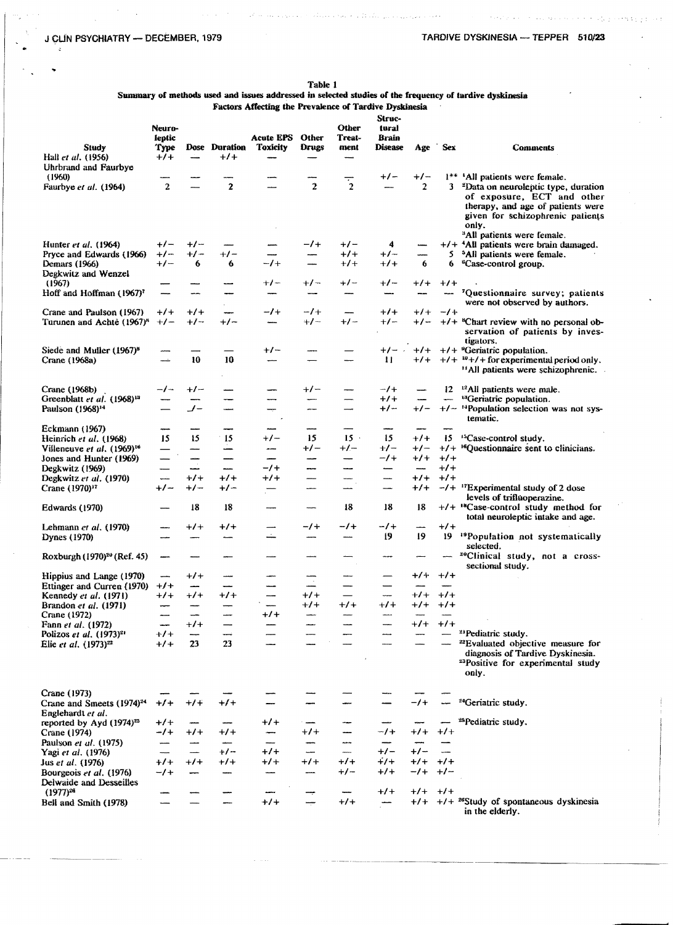Table 1

Summary of methods used and issues addressed in selected studies of the frequency of tardive dyskinesia

Factors Affecting the Prevalence of Tardive Dyskinesia

| Study<br>Hall et al. (1956)<br>Uhrbrand and Faurbye        | Neuro-<br>leptic<br>Туре<br>$+1+$ | —<br>————         | Dose Duration Toxicity<br>$+1+$ | <b>Acute EPS</b> | Other<br>Drugs | Other<br>Treat-<br>ment  | Struc-<br>tural<br>Brain<br><b>Disease</b> | Age                               | <b>Sex</b>               | <b>Comments</b>                                                                                                                                                                                           |
|------------------------------------------------------------|-----------------------------------|-------------------|---------------------------------|------------------|----------------|--------------------------|--------------------------------------------|-----------------------------------|--------------------------|-----------------------------------------------------------------------------------------------------------------------------------------------------------------------------------------------------------|
| (1960)                                                     |                                   |                   |                                 |                  |                |                          | $+/-$                                      | $+/-$                             |                          | 1** 'All patients were female.                                                                                                                                                                            |
| Faurbye et al. (1964)                                      | $\overline{2}$                    |                   | $\overline{2}$                  |                  | $\mathbf{z}$   | $\overline{1}$           |                                            | $\overline{2}$                    | 3                        | <sup>2</sup> Data on neuroleptic type, duration<br>of exposure, ECT and other<br>therapy, and age of patients were<br>given for schizophrenic patients<br>only.<br><sup>3</sup> All patients were female. |
| Hunter <i>et al.</i> (1964)                                | $+/-$                             | $+/-$             |                                 |                  | $-1$           | $+/-$                    | 4                                          | -                                 |                          | $+/-$ <sup>4</sup> All patients were brain damaged.                                                                                                                                                       |
| Pryce and Edwards (1966)                                   | $+/-$                             | $+/-$             | $+/-$                           |                  |                | $+1$                     | $+/-$                                      |                                   | 5.                       | <sup>5</sup> All patients were female.                                                                                                                                                                    |
| Demars (1966)                                              | $+/-$                             | 6                 | 6                               | $-1$             | ------         | $+1+$                    | $^{+/-}$                                   | 6                                 | 6                        | <sup>6</sup> Case-control group.                                                                                                                                                                          |
| Degkwitz and Wenzel                                        |                                   |                   |                                 |                  |                |                          |                                            |                                   |                          |                                                                                                                                                                                                           |
| (1967)                                                     |                                   |                   |                                 | $+/-$            | $+/-$          | $+/-$                    | $+/-$                                      | $+1$                              | $+1+$                    |                                                                                                                                                                                                           |
| Hoff and Hoffman (1967) <sup>7</sup>                       |                                   |                   | ---                             |                  | --             |                          | $rac{1}{2}$                                |                                   |                          | 'Questionnaire survey; patients<br>were not observed by authors.                                                                                                                                          |
| Crane and Paulson (1967)                                   | $^{+/-}$                          | $+/-$             | -                               | $-1$             | $-1$ +         | $\overline{\phantom{a}}$ | $+1$                                       | $+1$                              | $-1$ +                   |                                                                                                                                                                                                           |
| Turunen and Achtè (1967) <sup>8</sup>                      | $+/-$                             | $+/-$             | $+/-$                           |                  | $+/-$          | $+/-$                    | $+/-$                                      | $+/-$                             |                          | $+/-$ <sup>8</sup> Chart review with no personal ob-<br>servation of patients by inves-<br>tigators.                                                                                                      |
| Siede and Muller (1967) <sup>8</sup>                       |                                   |                   |                                 | $+/-$            | ----           |                          | $+/-$ .                                    |                                   |                          | $+/-$ +/+ $+$ <sup>9</sup> Geriatric population.                                                                                                                                                          |
| Crane (1968a)                                              |                                   | 10                | 10                              |                  |                |                          | $\mathbf{H}$                               | $+1+$                             |                          | $+/ w+/-$ for experimental period only.<br><sup>14</sup> All patients were schizophrenic.                                                                                                                 |
| Crane (1968b)                                              | -/-                               | $+/-$             |                                 |                  | $+/-$          |                          | $-1$                                       | --                                | 12                       | <sup>12</sup> All patients were male.                                                                                                                                                                     |
| Greenblatt et al. (1968) <sup>13</sup>                     |                                   | ---               |                                 |                  | -              |                          | $+1+$                                      | -                                 | anna.                    | <sup>13</sup> Geriatric population.                                                                                                                                                                       |
| Paulson (1968) <sup>14</sup>                               |                                   | – پ               |                                 | ÷                | -              | ----                     | $+/-$                                      | $+/-$                             |                          | +/- <sup>14</sup> Population selection was not sys-<br>tematic.                                                                                                                                           |
| Eckmann (1967)                                             |                                   |                   |                                 | مسمه             |                |                          |                                            |                                   |                          |                                                                                                                                                                                                           |
| Heinrich et al. (1968)                                     | 15                                | 15                | 15                              | $+/-$            | 15             | $15 -$                   | 15                                         | $+1$                              | 15                       | <sup>15</sup> Case-control study.                                                                                                                                                                         |
| Villeneuve et al. (1969) <sup>16</sup>                     |                                   |                   | ÷                               | $\overline{ }$   | $+/-$          | $+/-$                    | $+/-$                                      | $+/-$                             |                          | $+/-$ <sup>16</sup> Questionnaire sent to clinicians.                                                                                                                                                     |
| Jones and Hunter (1969)                                    |                                   | ---               |                                 |                  | ---            |                          | $-1$                                       | $+1$                              | $+/-$                    |                                                                                                                                                                                                           |
| Degkwitz (1969)                                            | سنسمأ                             | <u>.</u><br>$+1+$ | —<br>——<br>$+1$                 | -/+<br>$+1$      | ---            | ---                      | $\overline{\phantom{a}}$                   | $\overline{\phantom{a}}$<br>$+1+$ | $+1+$<br>$+1+$           |                                                                                                                                                                                                           |
| Degkwitz et al. (1970)<br>Crane (1970) <sup>17</sup>       | $+/-$                             | $+/-$             | $+/-$                           |                  | --<br>----     |                          | -----<br>-----                             | $^{+/-}$                          |                          | $-/-$ <sup>17</sup> Experimental study of 2 dose                                                                                                                                                          |
| Edwards (1970)                                             |                                   | 18                | 18                              |                  |                | 18                       | 18                                         | 18                                |                          | levels of trifluoperazine.<br>$+/-$ <sup>18</sup> Case-control study method for<br>total neuroleptic intake and age.                                                                                      |
| Lehmann et al. (1970)                                      |                                   | $+1$              | $+1$                            |                  | $-1$           | $-1$                     | -1+                                        | ---                               | $+1$                     |                                                                                                                                                                                                           |
| Dynes (1970)                                               |                                   |                   |                                 | خ                | ---            | -                        | 19                                         | 19                                | 19                       | <sup>19</sup> Population not systematically<br>selected.                                                                                                                                                  |
| Roxburgh (1970) <sup>20</sup> (Ref. 45)                    | ---                               |                   |                                 | منسب             |                |                          |                                            |                                   | ----                     | <sup>20</sup> Clinical study, not a cross-<br>sectional study.                                                                                                                                            |
| Hippius and Lange (1970)                                   | -                                 | $+1$              |                                 |                  |                |                          |                                            | $+/-$                             | $+1$                     |                                                                                                                                                                                                           |
| Ettinger and Curren (1970)                                 | $+1$                              | --                |                                 |                  |                |                          |                                            |                                   |                          |                                                                                                                                                                                                           |
| Kennedy et al. (1971)                                      | $+1$                              | $+1$              | $^{+/-}$                        | ----             | $+1+$<br>$+1$  | $+1$                     | $+1$                                       | $+1+$<br>$+/-$                    | $+1$<br>$+1$             |                                                                                                                                                                                                           |
| Brandon et al. (1971)<br>Crane (1972)                      | ----                              |                   |                                 | $+1$             |                |                          | ---                                        |                                   |                          |                                                                                                                                                                                                           |
| Fann et al. (1972)                                         |                                   | $+1+$             |                                 |                  |                |                          |                                            | $+1+$                             | $+1$                     |                                                                                                                                                                                                           |
| Polizos et al. (1973) <sup>21</sup>                        | $+1+$                             | --                |                                 |                  |                |                          |                                            |                                   |                          | <sup>21</sup> Pediatric study.                                                                                                                                                                            |
| Elie et al. (1973) <sup>22</sup>                           | $+1$                              | 23                | 23                              |                  |                |                          |                                            |                                   |                          | <sup>22</sup> Evaluated objective measure for<br>diagnosis of Tardive Dyskinesia.<br><sup>23</sup> Positive for experimental study<br>only.                                                               |
| Crane (1973)                                               |                                   |                   |                                 |                  |                |                          |                                            |                                   |                          |                                                                                                                                                                                                           |
| Crane and Smeets (1974) <sup>24</sup><br>Englehardt et al. | $+1$                              | $+1+$             | $+1$                            |                  |                |                          |                                            | $-1$ +                            | -                        | <sup>24</sup> Geriatric study.                                                                                                                                                                            |
| reported by Ayd (1974) <sup>25</sup>                       | $+/-$                             | -                 | --                              | $+1$             | سد             |                          | -                                          |                                   |                          | <sup>25</sup> Pediatric study.                                                                                                                                                                            |
| Crane (1974)                                               | -1+                               | $+1+$             | $+1$                            | بسب              | $+1$           |                          | $-1$ +                                     | $+1$                              | $+/-$                    |                                                                                                                                                                                                           |
| Paulson <i>et al.</i> (1975).                              |                                   | —                 | -                               |                  | ----           | $\overline{a}$           | $\overline{\phantom{a}}$                   |                                   |                          |                                                                                                                                                                                                           |
| Yagi et al. (1976)                                         |                                   |                   | $+/-$                           | $+1$             | -              | ----                     | $+/-$                                      | $+/-$                             | $\overline{\phantom{a}}$ |                                                                                                                                                                                                           |
| Jus et al. (1976)                                          | $+1+$                             | $+1$              | $+1+$                           | $+1$             | $+1+$          | $+1$                     | $+7$                                       | $+7+$                             | $+1+$                    |                                                                                                                                                                                                           |
| Bourgeois et al. (1976)<br>Delwaide and Desseilles         | $-1$                              | --                |                                 |                  |                | +/-                      | $+1+$                                      | -1+                               | $+/-$                    |                                                                                                                                                                                                           |
| $(1977)^{26}$                                              |                                   |                   |                                 |                  |                |                          | $+1$                                       | $+/-$                             | $+1+$                    |                                                                                                                                                                                                           |
| Bell and Smith (1978)                                      |                                   |                   |                                 | $+1+$            |                | $+1$                     | $\overline{\phantom{a}}$                   |                                   |                          | $+/-$ +/+ <sup>26</sup> Study of spontaneous dyskinesia<br>in the elderly.                                                                                                                                |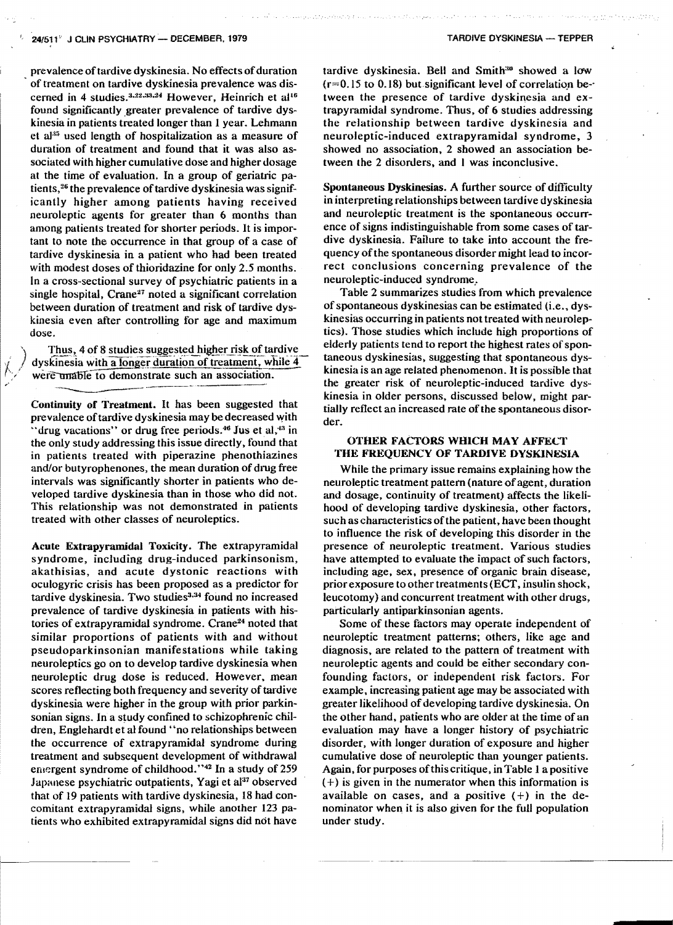#### **24/511" J CLIN PSYCHIATRY - DECEMBER, 1979**

prevalence of tardive dyskinesia. No effects of duration of treatment on tardive dyskinesia prevalence was discerned in 4 studies. $3.22,33.24$  However, Heinrich et al<sup>16</sup> found significantly greater prevalence of tardive dyskinesia in patients treated longer than 1 year. Lehmann et  $a^{35}$  used length of hospitalization as a measure of duration of treatment and found that it was also associated with higher cumulative dose and higher dosage at the time of evaluation. In a group of geriatric patients,<sup>26</sup> the prevalence of tardive dyskinesia was significantly higher among patients having received neuroleptic agents for greater than 6 months than among patients treated for shorter periods. It is important to note the occurrence in that group of a case of tardive dyskinesia in a patient who had been treated with modest doses of thioridazine for only 2.5 months. In a cross-sectional survey of psychiatric patients in a single hospital, Crane<sup>27</sup> noted a significant correlation between duration of treatment and risk of tardive dyskinesia even after controlling for age and maximum dose.

Thus, 4 of 8 studies suggested higher risk of tardive dyskinesia with a longer duration of treatment, while 4 were unable to demonstrate such an association.

Continuity of Treatment. It has been suggested that prevalence oftardive dyskinesia may be decreased With "drug vacations" or drug free periods.<sup>46</sup> Jus et al,<sup>43</sup> in the only study addressing this issue directly. found that in patients treated with piperazine phenothiazines and/or butyrophenones, the mean duration of drug free intervals was significantly shorter in patients who developed tardive dyskinesia than in those who did not. This relationship was not demonstrated in patients treated with other classes of neuroleptics.

Acute Extrapyramidal Toxicity. The extrapyramidal syndrome, including drug-induced parkinsonism, akathisias, and acute dystonic reactions with oculogyric crisis has been proposed as a predictor for tardive dyskinesia. Two studies<sup>3,34</sup> found no increased prevalence of tardive dyskinesia in patients with histories of extrapyramidal syndrome. Crane<sup>24</sup> noted that similar proportions of patients with and without pseudoparkinsonian manifestations while taking neuroleptics go on to develop tardive dyskinesia when neuroleptic drug dose is reduced. However. mean scores reflecting both frequency and severity of tardive dyskinesia were higher in the group with prior parkinsonian signs. In a study confined to schizophrenic children, Englehardt et al found' 'no relationships between the occurrence of extrapyramidal syndrome during treatment and subsequent development of withdrawal entergent syndrome of childhood."<sup>42</sup> In a study of 259 Japanese psychiatric outpatients, Yagi et al<sup>37</sup> observed that of 19 patients with tardive dyskinesia, 18 had concomitant extrapyramidal signs. while another 123 patients who exhibited extrapyramidal signs did not have

tardive dyskinesia. Bell and Smith<sup>30</sup> showed a low  $(r=0.15 \text{ to } 0.18)$  but significant level of correlation between the presence of tardive dyskinesia and extrapyramidal syndrome. Thus, of 6 studies addressing the relationship between tardive dyskinesia and neuroleptic-induced extrapyramidal syndrome. 3 showed no association. 2 showed an association between the 2 disorders, and I was inconclusive.

Spontaneous Dyskinesias. A further source of difticulty in interpreting relationships between tardive dyskinesia and neuroleptic treatment is the spontaneous occurrence of signs indistinguishable from some cases of tardive dyskinesia. Failure to take into account the frequency ofthe spontaneous disorder might lead to incorrect conclusions concerning prevalence of the neuroleptic-induced syndrome..

Table 2 summarizes studies from which prevalence of spontaneous dyskinesias can be estimated (i.e., dyskinesias occurring in patients not treated with neuroleptics). Those studies which include high proportions of elderly patients tend to report the highest rates of spontaneous dyskinesias, suggesting that spontaneous dyskinesia is an age related phenomenon. It is possible that the greater risk of neuroleptic-induced tardive dyskinesia in older persons, discussed below, might partially reflect an increased rate of the spontaneous disorder.

## OTHER FACTORS WHICH MAY AFFECT THE FREQUENCY OF TARDIVE DYSKINESIA

While the primary issue remains explaining how the neuroleptic treatment pattern (nature of agent, duration and dosage, continuity of treatment) affects the likelihood of developing tardive dyskinesia, other factors, such as characteristics of the patient, have been thought to influence the risk of developing this disorder in the presence of neuroleptic treatment. Various studies have attempted to evaluate the impact of such factors, including age, sex, presence of organic brain disease, prior exposure to other treatments(ECT, insulin shock. leucotomy) and concurrent treatment with other drugs, particularly antiparkinsonian agents.

Some of these factors may operate independent of neuroleptic treatment patterns; others, like age and diagnosis, are related to the pattern of treatment with neuroleptic agents and could be either secondary confounding factors, or independenl risk factors. For example, increasing patient age may be associated with greater likelihood of developing tardive dyskinesia. On the other hand, patients who are older at the time of an evaluation may have a longer history of psychiatric disorder, with longer duration of exposure and higher cumulative dose of neuroleptic than younger patients. Again, for purposes ofthis critique, in Table 1 a positive (+) is given in the numerator when this information is available on cases, and a positive  $(+)$  in the denominator when it is also given for the full population under study.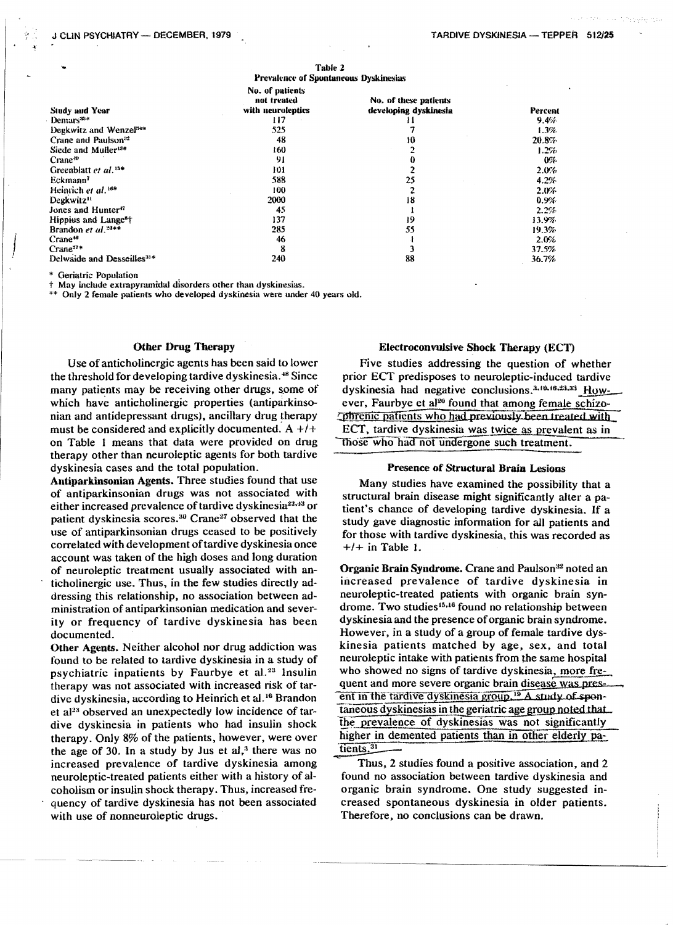|                                        | .                                            |                       |         |
|----------------------------------------|----------------------------------------------|-----------------------|---------|
|                                        | <b>Prevalence of Spontaneous Dyskinesias</b> |                       |         |
|                                        | No. of patients<br>not treated               | No. of these patients |         |
| <b>Study and Year</b>                  | with neuroleptics                            | developing dyskinesia | Percent |
| $Demars34+$                            | 117                                          | 11                    | 9.4%    |
| Degkwitz and Wenzel <sup>54*</sup>     | 525                                          |                       | 1.3%    |
| Crane and Paulson <sup>32</sup>        | 48                                           | 10                    | 20.8%   |
| Siede and Muller <sup>134</sup>        | 160                                          |                       | 1.2%    |
| $C$ rane <sup>-10</sup>                | 91                                           | 0                     | 0%      |
| Greenblatt et al. <sup>154</sup>       | 101                                          |                       | 2.0%    |
| Eckmann <sup>7</sup>                   | 588                                          | 25                    | 4.2%    |
| Heinrich et al. <sup>16#</sup>         | 100                                          |                       | 2.0%    |
| Degkwitz <sup>11</sup>                 | 2000                                         | 18                    | 0.9%    |
| Jones and Hunter <sup>47</sup>         | 45                                           |                       | 2.2%    |
| Hippius and Lange <sup>s</sup> †       | 137                                          | 19                    | 13.9%   |
| Brandon et $al.$ <sup>23**</sup>       | 285                                          | 55                    | 19.3%   |
| Crane <sup>46</sup>                    | 46                                           |                       | 2.0%    |
| Crane <sup>17*</sup>                   | 8                                            |                       | 37.5%   |
| Delwaide and Desseilles <sup>31*</sup> | 240                                          | 88                    | 36.7%   |

matan d

\* Geriatric Population

† May include extrapyramidal disorders other than dyskinesias.

\*\* Only 2 female patients who developed dyskinesia were under 40 years old.

#### **Other Drug Therapy**

Use of anticholinergic agents has been said to lower the threshold for developing tardive dyskinesia.<sup>48</sup> Since many patients may be receiving other drugs, some of which have anticholinergic properties (antiparkinsonian and antidepressant drugs), ancillary drug therapy must be considered and explicitly documented.  $A + l +$ on Table 1 means that data were provided on drug therapy other than neuroleptic agents for both tardive dyskinesia cases and the total population.

Antiparkinsonian Agents. Three studies found that use of antiparkinsonian drugs was not associated with either increased prevalence of tardive dyskinesia<sup>22,43</sup> or patient dyskinesia scores.<sup>30</sup> Crane<sup>27</sup> observed that the use of antiparkinsonian drugs ceased to be positively correlated with development of tardive dyskinesia once account was taken of the high doses and long duration of neuroleptic treatment usually associated with anticholinergic use. Thus, in the few studies directly addressing this relationship, no association between administration of antiparkinsonian medication and severity or frequency of tardive dyskinesia has been documented.

Other Agents. Neither alcohol nor drug addiction was found to be related to tardive dyskinesia in a study of psychiatric inpatients by Faurbye et al.<sup>23</sup> Insulin therapy was not associated with increased risk of tardive dyskinesia, according to Heinrich et al.<sup>16</sup> Brandon et al<sup>23</sup> observed an unexpectedly low incidence of tardive dyskinesia in patients who had insulin shock therapy. Only 8% of the patients, however, were over the age of 30. In a study by Jus et  $al<sub>1</sub><sup>3</sup>$ , there was no increased prevalence of tardive dyskinesia among neuroleptic-treated patients either with a history of alcoholism or insulin shock therapy. Thus, increased frequency of tardive dyskinesia has not been associated with use of nonneuroleptic drugs.

#### **Electroconvulsive Shock Therapy (ECT)**

Five studies addressing the question of whether prior ECT predisposes to neuroleptic-induced tardive dyskinesia had negative conclusions.<sup>3,10,16,23,33</sup> However, Faurbye et al<sup>20</sup> found that among female schizo-Ophrenic patients who had previously been treated with ECT, tardive dyskinesia was twice as prevalent as in those who had not undergone such treatment.

#### **Presence of Structural Brain Lesions**

Many studies have examined the possibility that a structural brain disease might significantly alter a patient's chance of developing tardive dyskinesia. If a study gave diagnostic information for all patients and for those with tardive dyskinesia, this was recorded as  $+/-$  in Table 1.

Organic Brain Syndrome. Crane and Paulson<sup>32</sup> noted an increased prevalence of tardive dyskinesia in neuroleptic-treated patients with organic brain syndrome. Two studies<sup>15,16</sup> found no relationship between dyskinesia and the presence of organic brain syndrome. However, in a study of a group of female tardive dyskinesia patients matched by age, sex, and total neuroleptic intake with patients from the same hospital who showed no signs of tardive dyskinesia, more frequent and more severe organic brain disease was present in the tardive dyskinesia group.<sup>19</sup> A study of spontaneous dyskinesias in the geriatric age group noted that. the prevalence of dyskinesias was not significantly higher in demented patients than in other elderly patients.<sup>31</sup>

Thus, 2 studies found a positive association, and 2 found no association between tardive dyskinesia and organic brain syndrome. One study suggested increased spontaneous dyskinesia in older patients. Therefore, no conclusions can be drawn.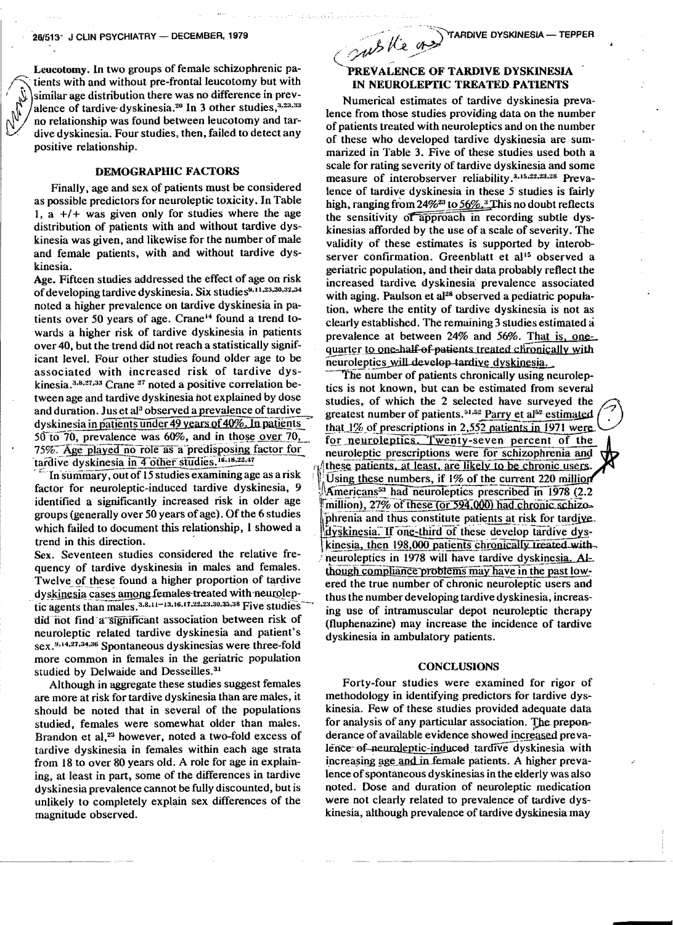Leucotomy. In two groups of female schizophrenic patients with and without pre-frontal leucotomy but with similar age distribution there was no difference in prevalence of tardive dyskinesia.<sup>20</sup> In 3 other studies,<sup>3,23,33</sup> no relationship was found between leucotomy and tardive dyskinesia. Four studies, then, failed to detect any positive relationship.

### **DEMOGRAPHIC FACTORS**

Finally, age and sex of patients must be considered as possible predictors for neuroleptic toxicity. In Table 1, a  $+/-$  was given only for studies where the age distribution of patients with and without tardive dyskinesia was given, and likewise for the number of male and female patients, with and without tardive dyskinesia.

Age. Fifteen studies addressed the effect of age on risk of developing tardive dyskinesia. Six studies 9,11,23,30,32,34 noted a higher prevalence on tardive dyskinesia in patients over 50 years of age. Crane<sup>14</sup> found a trend towards a higher risk of tardive dyskinesia in patients over 40, but the trend did not reach a statistically significant level. Four other studies found older age to be associated with increased risk of tardive dyskinesia.<sup>3,8,27,33</sup> Crane<sup>27</sup> noted a positive correlation between age and tardive dyskinesia not explained by dose and duration. Jus et al<sup>3</sup> observed a prevalence of tardive dyskinesia in patients under 49 years of 40%. In patients 50 to 70, prevalence was 60%, and in those over 70, 75%. Age played no role as a predisposing factor for tardive dyskinesia in 4 other studies. 16, 18, 22, 47

In summary, out of 15 studies examining age as a risk factor for neuroleptic-induced tardive dyskinesia, 9 identified a significantly increased risk in older age groups (generally over 50 years of age). Of the 6 studies which failed to document this relationship, I showed a trend in this direction.

Sex. Seventeen studies considered the relative frequency of tardive dyskinesia in males and females. Twelve of these found a higher proportion of tardive dyskinesia cases among females treated with neuroleptic agents than males. 3,8,11-13,16,17,22,23,30,35,38 Five studies did not find a significant association between risk of neuroleptic related tardive dyskinesia and patient's sex.<sup>9,14,27,34,36</sup> Spontaneous dyskinesias were three-fold more common in females in the geriatric population studied by Delwaide and Desseilles.<sup>31</sup>

Although in aggregate these studies suggest females are more at risk for tardive dyskinesia than are males, it should be noted that in several of the populations studied, females were somewhat older than males. Brandon et al.<sup>23</sup> however, noted a two-fold excess of tardive dyskinesia in females within each age strata from 18 to over 80 years old. A role for age in explaining, at least in part, some of the differences in tardive dyskinesia prevalence cannot be fully discounted, but is unlikely to completely explain sex differences of the magnitude observed.

subtle on TARDIVE DYSKINESIA - TEPPER

## PREVALENCE OF TARDIVE DYSKINESIA IN NEUROLEPTIC TREATED PATIENTS

Numerical estimates of tardive dyskinesia prevalence from those studies providing data on the number of patients treated with neuroleptics and on the number of these who developed tardive dyskinesia are summarized in Table 3. Five of these studies used both a scale for rating severity of tardive dyskinesia and some measure of interobserver reliability.<sup>3,15,22,23,28</sup> Prevalence of tardive dyskinesia in these 5 studies is fairly high, ranging from 24%<sup>23</sup> to 56%.<sup>3</sup>This no doubt reflects the sensitivity of approach in recording subtle dyskinesias afforded by the use of a scale of severity. The validity of these estimates is supported by interobserver confirmation. Greenblatt et al<sup>15</sup> observed a geriatric population, and their data probably reflect the increased tardive dyskinesia prevalence associated with aging. Paulson et al<sup>28</sup> observed a pediatric population, where the entity of tardive dyskinesia is not as clearly established. The remaining 3 studies estimated a prevalence at between 24% and 56%. That is, onequarter to one-half-of-patients treated chronically with neuroleptics will develop tardive dyskinesia.

The number of patients chronically using neuroleptics is not known, but can be estimated from several studies, of which the 2 selected have surveyed the greatest number of patients.<sup>51,52</sup> Parry et al<sup>52</sup> estimated that 1% of prescriptions in 2,552 patients in 1971 were for neuroleptics. Twenty-seven percent of the neuroleptic prescriptions were for schizophrenia and these patients, at least, are likely to be chronic users. Using these numbers, if 1% of the current 220 million Americans<sup>53</sup> had neuroleptics prescribed in 1978 (2.2) million), 27% of these (or 594,000) had chronic schizophrenia and thus constitute patients at risk for tardive. dyskinesia. If one-third of these develop tardive dyskinesia, then 198,000 patients chronically treated withneuroleptics in 1978 will have tardive dyskinesia. Although compliance problems may have in the past lowered the true number of chronic neuroleptic users and thus the number developing tardive dyskinesia, increasing use of intramuscular depot neuroleptic therapy (fluphenazine) may increase the incidence of tardive dyskinesia in ambulatory patients.

#### **CONCLUSIONS**

Forty-four studies were examined for rigor of methodology in identifying predictors for tardive dyskinesia. Few of these studies provided adequate data for analysis of any particular association. The preponderance of available evidence showed increased prevalence of neuroleptic-induced tardive dyskinesia with increasing age and in female patients. A higher prevalence of spontaneous dyskinesias in the elderly was also noted. Dose and duration of neuroleptic medication were not clearly related to prevalence of tardive dyskinesia, although prevalence of tardive dyskinesia may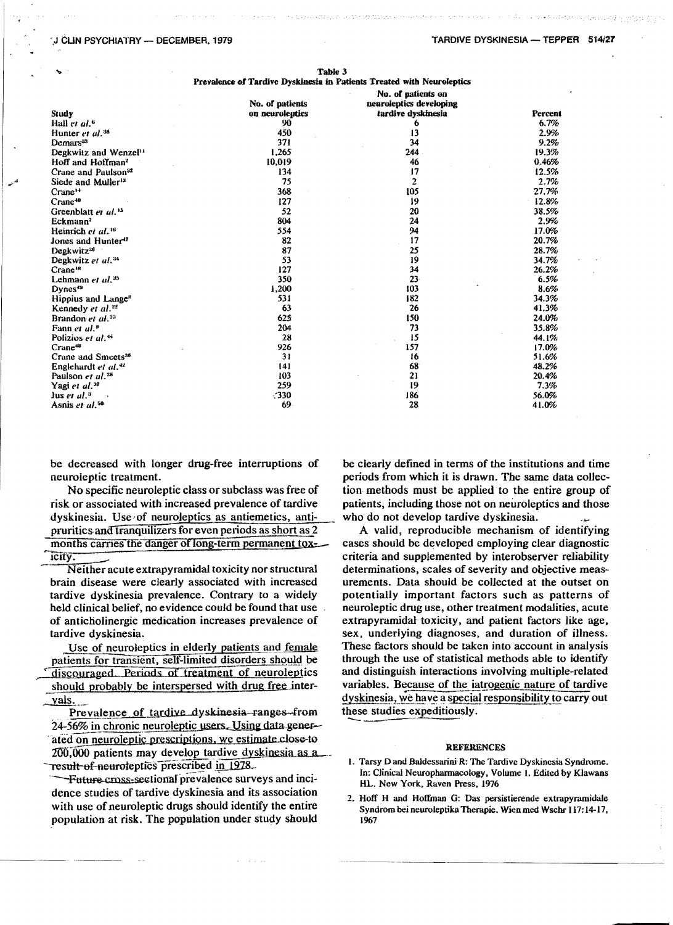#### J CLIN PSYCHIATRY - DECEMBER, 1979

| Study                             | No. of patients<br>on neuroleptics | No. of patients on<br>neuroleptics developing<br>tardive dyskinesia | Percer  |
|-----------------------------------|------------------------------------|---------------------------------------------------------------------|---------|
| Hall et al. <sup>6</sup>          | 90                                 | 6                                                                   | 6.7%    |
| Hunter et al. <sup>38</sup>       | 450                                | 13                                                                  | 2.9%    |
| Demars <sup>33</sup>              | 371                                | 34                                                                  | 9.2%    |
| Degkwitz and Wenzel <sup>11</sup> | 1,265                              | 244                                                                 | 19.3%   |
| Hoff and Hoffman <sup>2</sup>     | 10,019                             | 46                                                                  | 0.46%   |
| Crane and Paulson <sup>32</sup>   | 134                                | 17                                                                  | 12.5%   |
| Siede and Muller <sup>13</sup>    | 75                                 | $\overline{2}$                                                      | 2.7%    |
| Crane <sup>14</sup>               | 368                                | 105                                                                 | 27.7%   |
| Crane <sup>10</sup>               | 127                                | 19                                                                  | 12.8%   |
|                                   | 52                                 | 20                                                                  | 38.5%   |
| Greenblatt et al. <sup>15</sup>   | 804                                | 24                                                                  | 2.9%    |
| Eckmann <sup>7</sup>              |                                    | 94                                                                  |         |
| Heinrich et al. <sup>16</sup>     | 554                                | 17                                                                  | 17.0%   |
| Jones and Hunter <sup>17</sup>    | 82                                 |                                                                     | 20.7%   |
| Degkwitz <sup>38</sup>            | 87                                 | 25                                                                  | 28.7%   |
| Degkwitz et al. <sup>34</sup>     | 53                                 | 19                                                                  | 34.7%   |
| Crane <sup>18</sup>               | 127                                | 34                                                                  | 26.2%   |
| Lehmann $et$ $ul.^{35}$           | 350                                | $23 -$                                                              | 6.5%    |
| Dynes <sup>49</sup>               | 1,200                              | 103                                                                 | 8.6%    |
| Hippius and Lange <sup>s</sup>    | 531                                | 182                                                                 | 34.3%   |
| Kennedy et al. <sup>22</sup>      | 63                                 | 26                                                                  | 41.3%   |
| Brandon et al. <sup>23</sup>      | 625                                | 150                                                                 | 24.0%   |
| Fann et al. <sup>9</sup>          | 204                                | 73                                                                  | 35.8%   |
| Polizios et al. <sup>44</sup>     | 28                                 | 15                                                                  | 44.1%   |
| $Crane$ <sup>48</sup>             | 926                                | 157                                                                 | 17.0%   |
| Crane and Smeets <sup>28</sup>    | 31                                 | 16                                                                  | 51.6%   |
| Englehardt et al. <sup>42</sup>   | 141                                | 68                                                                  | 48.2%   |
| Paulson et al. <sup>28</sup>      | 103                                | 21                                                                  | 20.4%   |
| Yagi et al. <sup>37</sup>         | 259                                | 19                                                                  | 7.3%    |
| $Jus$ er al. <sup>3</sup>         | $-330$                             | 186                                                                 | 56.0%   |
| American and Life.                | 60.                                | 79                                                                  | 41. DOC |

Table 3 Prevalence of Tardive Dyskinesia in Patients Treated with Neuroleptics

be decreased with longer drug-free interruptions of neuroleptic treatment.

No specific neuroleptic class or subclass was free of risk or associated with increased prevalence of tardive dyskinesia. Use of neuroleptics as antiemetics, antipruritics and tranquilizers for even periods as short as 2 months carries the danger of long-term permanent toxicity<sup>-</sup>

Neither acute extrapyramidal toxicity nor structural brain disease were clearly associated with increased tardive dyskinesia prevalence. Contrary to a widely held clinical belief, no evidence could be found that use of anticholinergic medication increases prevalence of tardive dyskinesia.

Use of neuroleptics in elderly patients and female patients for transient, self-limited disorders should be discouraged. Periods of treatment of neuroleptics should probably be interspersed with drug free intervals.

Prevalence of tardive dyskinesia ranges from 24-56% in chronic neuroleptic users. Using data generated on neuroleptic prescriptions, we estimate close to 200,000 patients may develop tardive dyskinesia as a result of neuroteptics prescribed in 1978.

Future cross-sectional prevalence surveys and incidence studies of tardive dyskinesia and its association with use of neuroleptic drugs should identify the entire population at risk. The population under study should

be clearly defined in terms of the institutions and time periods from which it is drawn. The same data collection methods must be applied to the entire group of patients, including those not on neuroleptics and those who do not develop tardive dyskinesia.

A valid, reproducible mechanism of identifying cases should be developed employing clear diagnostic criteria and supplemented by interobserver reliability determinations, scales of severity and objective measurements. Data should be collected at the outset on potentially important factors such as patterns of neuroleptic drug use, other treatment modalities, acute extrapyramidal toxicity, and patient factors like age, sex. underlying diagnoses, and duration of illness. These factors should be taken into account in analysis through the use of statistical methods able to identify and distinguish interactions involving multiple-related variables. Because of the iatrogenic nature of tardive dyskinesia, we have a special responsibility to carry out these studies expeditiously.

#### **REFERENCES**

- 1. Tarsy D and Baldessarini R: The Tardive Dyskinesia Syndrome. In: Clinical Neuropharmacology, Volume 1. Edited by Klawans HL. New York, Raven Press, 1976
- 2. Hoff H and Hoffman G: Das persistierende extrapyramidale Syndrom bei neuroleptika Therapie. Wien med Wschr 117:14-17, 1967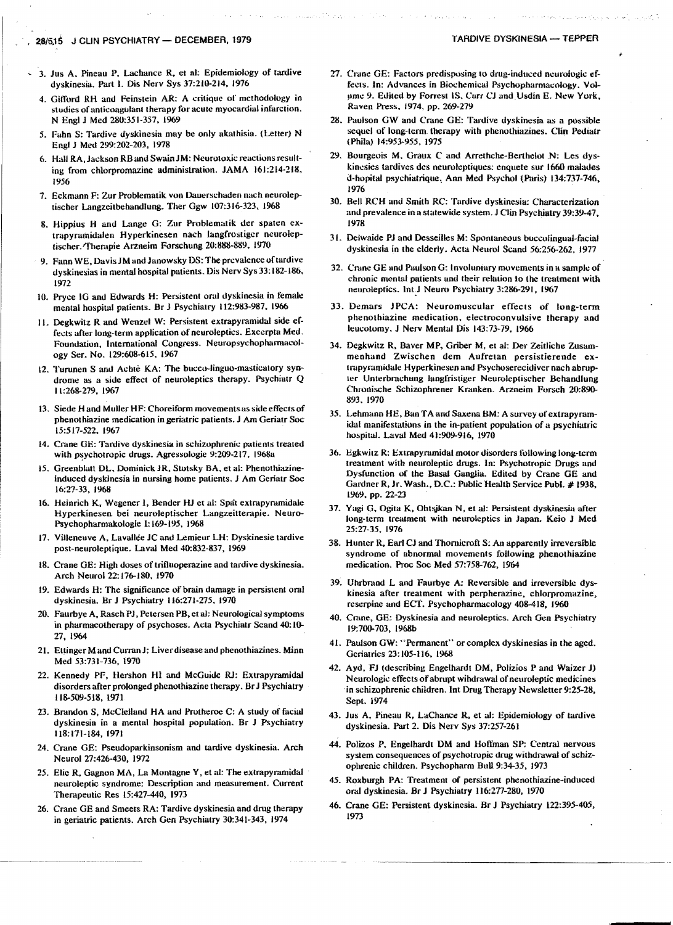- 3. Jus A, Pineau P, Lachance R, et al: Epidemiology of tardive dyskinesia. Part I. Dis Nerv Sys 37:210-214, 1976
- 4. Gifford RH and Feinstein AR: A critique of methodology in studies of anticoagulant therapy for acute myocardial infarction. N Engl J Med 280:351-357, 1969
- 5. Fahn S: Tardive dyskinesia may be only akathisia. (Letter) N Engl J Med 299:202-203, 1978
- 6. Hall RA, Jackson RB and Swain JM: Neurotoxic reactions resulting from chlorpromazine administration. JAMA 161:214-218, 1956
- 7. Eckmann F: Zur Problematik von Dauerschaden nach neuroleptischer Langzeitbehandlung. Ther Ggw 107:316-323, 1968
- 8. Hippius H and Lange G: Zur Problematik der spaten extrapyramidalen Hyperkinesen nach langfrostiger neuroleptischer. Therapie Arzneim Forschung 20:888-889, 1970
- 9. Fann WE, Davis JM and Janowsky DS: The prevalence of tardive dyskinesias in mental hospital patients. Dis Nerv Sys 33:182-186, 1972
- 10. Pryce IG and Edwards H: Persistent oral dyskinesia in female mental hospital patients. Br J Psychiatry 112:983-987, 1966
- 11. Degkwitz R and Wenzel W: Persistent extrapyramidal side effects after long-term application of neuroleptics. Excerpta Med. Foundation, International Congress. Neuropsychopharmacology Ser. No. 129:608-615, 1967
- 12. Turunen S and Achtè KA: The bucco-linguo-masticatory syndrome as a side effect of neuroleptics therapy. Psychiatr Q 11:268-279, 1967
- 13. Siede H and Muller HF: Choreiform movements as side effects of phenothiazine medication in geriatric patients. J Am Geriatr Soc 15:517-522, 1967
- 14. Crane GE: Tardive dyskinesia in schizophrenic patients treated with psychotropic drugs. Agressologie 9:209-217, 1968a
- 15. Greenblatt DL, Dominick JR, Stotsky BA, et al: Phenothiazineinduced dyskinesia in nursing home patients. J Am Geriatr Soc 16:27-33, 1968
- 16. Heinrich K, Wegener I, Bender HJ et al: Spat extrapyramidale Hyperkinesen bei neuroleptischer Langzeitterapie. Neuro-Psychopharmakologie 1:169-195, 1968
- 17. Villeneuve A, Lavallée JC and Lemieur LH: Dyskinesie tardive post-neuroleptique. Laval Med 40:832-837, 1969
- 18. Crane GE: High doses of trifluoperazine and tardive dyskinesia. Arch Neurol 22:176-180, 1970
- 19. Edwards H: The significance of brain damage in persistent oral dyskinesia. Br J Psychiatry 116:271-275, 1970
- 20. Faurbye A, Rasch PJ, Petersen PB, et al: Neurological symptoms in pharmacotherapy of psychoses. Acta Psychiatr Scand 40:10-27, 1964
- 21. Ettinger M and Curran J; Liver disease and phenothiazines. Minn Med 53:731-736, 1970
- 22. Kennedy PF, Hershon HI and McGuide RJ: Extrapyramidal disorders after prolonged phenothiazine therapy. Br J Psychiatry 118-509-518, 1971
- 23. Brandon S, McClelland HA and Protheroe C: A study of facial dyskinesia in a mental hospital population. Br J Psychiatry 118:171-184, 1971
- 24. Crane GE: Pseudoparkinsonism and tardive dyskinesia. Arch Neurol 27:426-430, 1972
- 25. Elie R, Gagnon MA, La Montagne Y, et al: The extrapyramidal neuroleptic syndrome: Description and measurement. Current Therapeutic Res 15:427-440, 1973
- 26. Crane GE and Smeets RA: Tardive dyskinesia and drug therapy in geriatric patients. Arch Gen Psychiatry 30:341-343, 1974
- 27. Crane GE: Factors predisposing to drug-induced neurologic effects. In: Advances in Biochemical Psychopharmacology, Volume 9. Edited by Forrest IS, Carr CJ and Usdin E. New York, Raven Press, 1974, pp. 269-279
- 28. Paulson GW and Crane GE: Tardive dyskinesia as a possible sequel of long-term therapy with phenothiazines. Clin Pediatr (Phila) 14:953-955, 1975
- 29. Bourgeois M, Graux C and Arrethche-Berthelot N: Les dyskinesies tardives des neuroleptiques: enquete sur 1660 malades d-hopital psychiatrique, Ann Med Psychol (Paris) 134:737-746, 1976
- 30. Bell RCH and Smith RC: Tardive dyskinesia: Characterization and prevalence in a statewide system. J Clin Psychiatry 39:39-47, 1978
- 31. Delwaide PJ and Desseilles M: Spontaneous buccolingual-facial dyskinesia in the elderly. Acta Neurol Scand 56:256-262, 1977
- 32. Crane GE and Paulson G: Involuntary movements in a sample of chronic mental patients and their relation to the treatment with neuroleptics. Int J Neuro Psychiatry 3:286-291, 1967
- 33. Demars JPCA: Neuromuscular effects of long-term phenothiazine medication, electroconvulsive therapy and leucotomy, J Nerv Mental Dis 143:73-79, 1966
- 34. Degkwitz R, Baver MP, Griber M, et al: Der Zeitliche Zusammenhand Zwischen dem Aufretan persistierende extrapyramidale Hyperkinesen and Psychoserecidiver nach abrupter Unterbrachung langfristiger Neuroleptischer Behandlung Chronische Schizophrener Kranken. Arzneim Forsch 20:890-893, 1970
- 35. Lehmann HE, Ban TA and Saxena BM: A survey of extrapyramidal manifestations in the in-patient population of a psychiatric hospital. Laval Med 41:909-916, 1970
- 36. Egkwitz R: Extrapyramidal motor disorders following long-term treatment with neuroleptic drugs. In: Psychotropic Drugs and Dysfunction of the Basal Ganglia. Edited by Crane GE and Gardner R, Jr. Wash., D.C.: Public Health Service Publ. #1938, 1969, pp. 22-23
- 37. Yagi G, Ogita K, Ohtsjkan N, et al: Persistent dyskinesia after long-term treatment with neuroleptics in Japan. Keio J Med 25:27-35, 1976
- 38. Hunter R, Earl CJ and Thornicroft S: An apparently irreversible syndrome of abnormal movements following phenothiazine medication. Proc Soc Med 57:758-762, 1964
- 39. Uhrbrand L and Faurbye A: Reversible and irreversible dyskinesia after treatment with perpherazine, chlorpromazine, reserpine and ECT. Psychopharmacology 408-418, 1960
- 40. Crane, GE: Dyskinesia and neuroleptics. Arch Gen Psychiatry 19:700-703, 1968b
- 41. Paulson GW: "Permanent" or complex dyskinesias in the aged. Geriatrics 23:105-116, 1968
- 42. Ayd, FJ (describing Engelhardt DM, Polizios P and Waizer J) Neurologic effects of abrupt windrawal of neuroleptic medicines in schizophrenic children. Int Drug Therapy Newsletter 9:25-28, Sept. 1974
- 43. Jus A, Pineau R, LaChance R, et al: Epidemiology of tardive dyskinesia. Part 2. Dis Nerv Sys 37:257-261
- 44. Polizos P. Engelhardt DM and Hoffman SP: Central nervous system consequences of psychotropic drug withdrawal of schizophrenic children. Psychopharm Bull 9:34-35, 1973
- 45. Roxburgh PA: Treatment of persistent phenothiazine-induced oral dyskinesia. Br J Psychiatry 116:277-280, 1970
- 46. Crane GE: Persistent dyskinesia. Br J Psychiatry 122:395-405, 1973